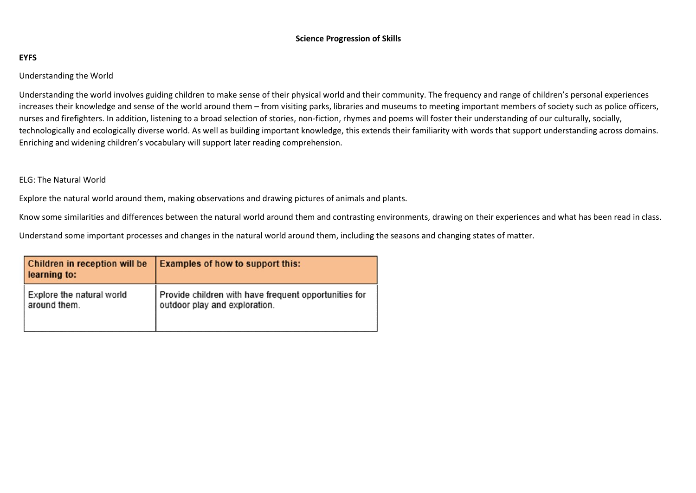## **Science Progression of Skills**

## **EYFS**

Understanding the World

Understanding the world involves guiding children to make sense of their physical world and their community. The frequency and range of children's personal experiences increases their knowledge and sense of the world around them – from visiting parks, libraries and museums to meeting important members of society such as police officers, nurses and firefighters. In addition, listening to a broad selection of stories, non-fiction, rhymes and poems will foster their understanding of our culturally, socially, technologically and ecologically diverse world. As well as building important knowledge, this extends their familiarity with words that support understanding across domains. Enriching and widening children's vocabulary will support later reading comprehension.

## ELG: The Natural World

Explore the natural world around them, making observations and drawing pictures of animals and plants.

Know some similarities and differences between the natural world around them and contrasting environments, drawing on their experiences and what has been read in class.

Understand some important processes and changes in the natural world around them, including the seasons and changing states of matter.

| <b>Children in reception will be</b><br>learning to: | <b>Examples of how to support this:</b>               |
|------------------------------------------------------|-------------------------------------------------------|
| Explore the natural world                            | Provide children with have frequent opportunities for |
| around them.                                         | outdoor play and exploration.                         |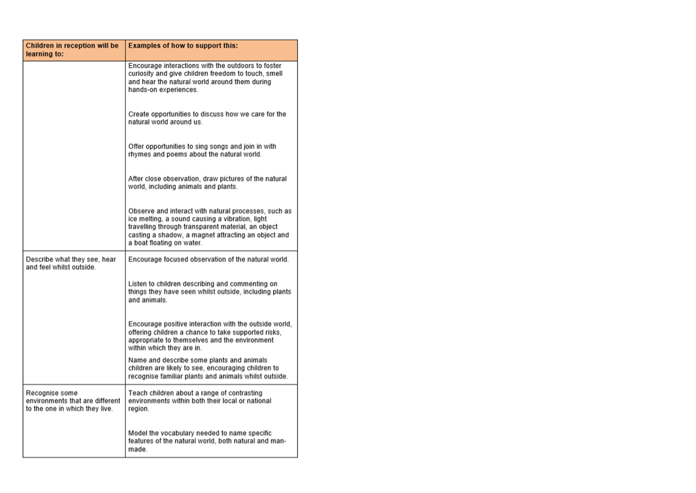| Children in reception will be<br>learning to:                                       | <b>Examples of how to support this:</b>                                                                                                                                                                                                           |  |
|-------------------------------------------------------------------------------------|---------------------------------------------------------------------------------------------------------------------------------------------------------------------------------------------------------------------------------------------------|--|
|                                                                                     | Encourage interactions with the outdoors to foster<br>curiosity and give children freedom to touch, smell<br>and hear the natural world around them during<br>hands-on experiences.                                                               |  |
|                                                                                     | Create opportunities to discuss how we care for the<br>natural world around us.                                                                                                                                                                   |  |
|                                                                                     | Offer opportunities to sing songs and join in with<br>rhymes and poems about the natural world.                                                                                                                                                   |  |
|                                                                                     | After close observation, draw pictures of the natural<br>world, including animals and plants.                                                                                                                                                     |  |
|                                                                                     | Observe and interact with natural processes, such as<br>ice melting, a sound causing a vibration, light<br>travelling through transparent material, an object<br>casting a shadow, a magnet attracting an object and<br>a boat floating on water. |  |
| Describe what they see, hear<br>and feel whilst outside.                            | Encourage focused observation of the natural world.                                                                                                                                                                                               |  |
|                                                                                     | Listen to children describing and commenting on<br>things they have seen whilst outside, including plants<br>and animals.                                                                                                                         |  |
|                                                                                     | Encourage positive interaction with the outside world,<br>offering children a chance to take supported risks,<br>appropriate to themselves and the environment<br>within which they are in.                                                       |  |
|                                                                                     | Name and describe some plants and animals<br>children are likely to see, encouraging children to<br>recognise familiar plants and animals whilst outside.                                                                                         |  |
| Recognise some<br>environments that are different<br>to the one in which they live. | Teach children about a range of contrasting<br>environments within both their local or national<br>region.                                                                                                                                        |  |
|                                                                                     | Model the vocabulary needed to name specific<br>features of the natural world, both natural and man-<br>made.                                                                                                                                     |  |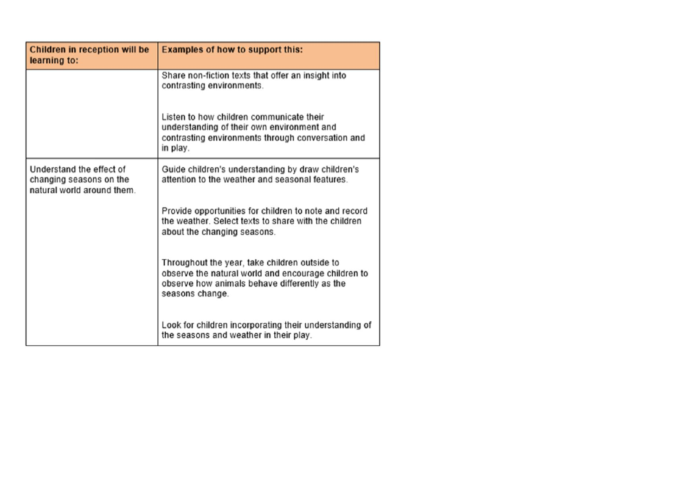| Children in reception will be<br>learning to:                                     | <b>Examples of how to support this:</b>                                                                                                                                  |  |
|-----------------------------------------------------------------------------------|--------------------------------------------------------------------------------------------------------------------------------------------------------------------------|--|
|                                                                                   | Share non-fiction texts that offer an insight into<br>contrasting environments.                                                                                          |  |
|                                                                                   | Listen to how children communicate their<br>understanding of their own environment and<br>contrasting environments through conversation and<br>in play.                  |  |
| Understand the effect of<br>changing seasons on the<br>natural world around them. | Guide children's understanding by draw children's<br>attention to the weather and seasonal features.                                                                     |  |
|                                                                                   | Provide opportunities for children to note and record<br>the weather. Select texts to share with the children<br>about the changing seasons.                             |  |
|                                                                                   | Throughout the year, take children outside to<br>observe the natural world and encourage children to<br>observe how animals behave differently as the<br>seasons change. |  |
|                                                                                   | Look for children incorporating their understanding of<br>the seasons and weather in their play.                                                                         |  |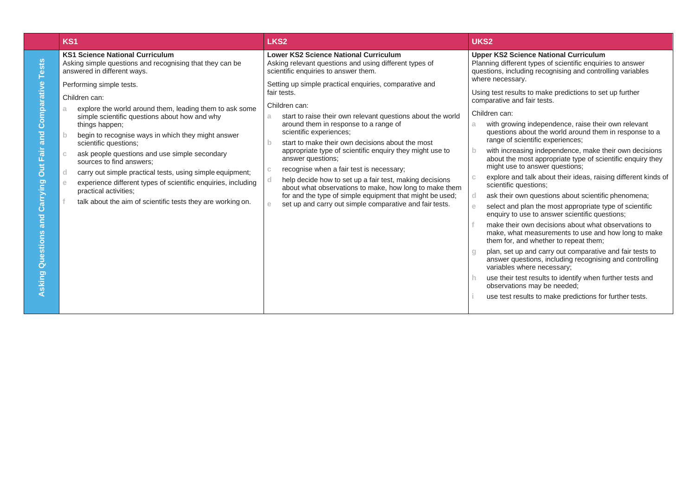|                                                                                                 | KS <sub>1</sub>                                                                                                                                                                                                                                                                                                                                                                                                                                                                                                                                                      | LKS <sub>2</sub>                                                                                                                                                                                                                                                                                                                                                                                                                                                                                                                                                                                                                                             | UKS <sub>2</sub>                                                                                                                                                                                                                                                                                                                                                                                                                                                                                                                                                                                                                                                                                                                                                                                                                                                                                                                                                                                                                                                                                                                                                                        |
|-------------------------------------------------------------------------------------------------|----------------------------------------------------------------------------------------------------------------------------------------------------------------------------------------------------------------------------------------------------------------------------------------------------------------------------------------------------------------------------------------------------------------------------------------------------------------------------------------------------------------------------------------------------------------------|--------------------------------------------------------------------------------------------------------------------------------------------------------------------------------------------------------------------------------------------------------------------------------------------------------------------------------------------------------------------------------------------------------------------------------------------------------------------------------------------------------------------------------------------------------------------------------------------------------------------------------------------------------------|-----------------------------------------------------------------------------------------------------------------------------------------------------------------------------------------------------------------------------------------------------------------------------------------------------------------------------------------------------------------------------------------------------------------------------------------------------------------------------------------------------------------------------------------------------------------------------------------------------------------------------------------------------------------------------------------------------------------------------------------------------------------------------------------------------------------------------------------------------------------------------------------------------------------------------------------------------------------------------------------------------------------------------------------------------------------------------------------------------------------------------------------------------------------------------------------|
| ests                                                                                            | <b>KS1 Science National Curriculum</b><br>Asking simple questions and recognising that they can be<br>answered in different ways.                                                                                                                                                                                                                                                                                                                                                                                                                                    | <b>Lower KS2 Science National Curriculum</b><br>Asking relevant questions and using different types of<br>scientific enquiries to answer them.                                                                                                                                                                                                                                                                                                                                                                                                                                                                                                               | <b>Upper KS2 Science National Curriculum</b><br>Planning different types of scientific enquiries to answer<br>questions, including recognising and controlling variables                                                                                                                                                                                                                                                                                                                                                                                                                                                                                                                                                                                                                                                                                                                                                                                                                                                                                                                                                                                                                |
| mparative<br>ō<br>ပ<br>and<br>air<br><b>Dut</b> F<br>arrying<br>ပ<br>and<br>Questions<br>Asking | Performing simple tests.<br>Children can:<br>explore the world around them, leading them to ask some<br>simple scientific questions about how and why<br>things happen;<br>begin to recognise ways in which they might answer<br>scientific questions;<br>ask people questions and use simple secondary<br>sources to find answers:<br>carry out simple practical tests, using simple equipment;<br>d.<br>experience different types of scientific enquiries, including<br>e<br>practical activities;<br>talk about the aim of scientific tests they are working on. | Setting up simple practical enquiries, comparative and<br>fair tests.<br>Children can:<br>start to raise their own relevant questions about the world<br>a.<br>around them in response to a range of<br>scientific experiences;<br>start to make their own decisions about the most<br>appropriate type of scientific enquiry they might use to<br>answer questions;<br>recognise when a fair test is necessary;<br>help decide how to set up a fair test, making decisions<br>about what observations to make, how long to make them<br>for and the type of simple equipment that might be used;<br>set up and carry out simple comparative and fair tests. | where necessary.<br>Using test results to make predictions to set up further<br>comparative and fair tests.<br>Children can:<br>with growing independence, raise their own relevant<br>a<br>questions about the world around them in response to a<br>range of scientific experiences;<br>with increasing independence, make their own decisions<br>about the most appropriate type of scientific enquiry they<br>might use to answer questions;<br>explore and talk about their ideas, raising different kinds of<br>scientific questions:<br>ask their own questions about scientific phenomena;<br>d<br>select and plan the most appropriate type of scientific<br>enquiry to use to answer scientific questions;<br>make their own decisions about what observations to<br>make, what measurements to use and how long to make<br>them for, and whether to repeat them;<br>plan, set up and carry out comparative and fair tests to<br>answer questions, including recognising and controlling<br>variables where necessary;<br>use their test results to identify when further tests and<br>observations may be needed;<br>use test results to make predictions for further tests. |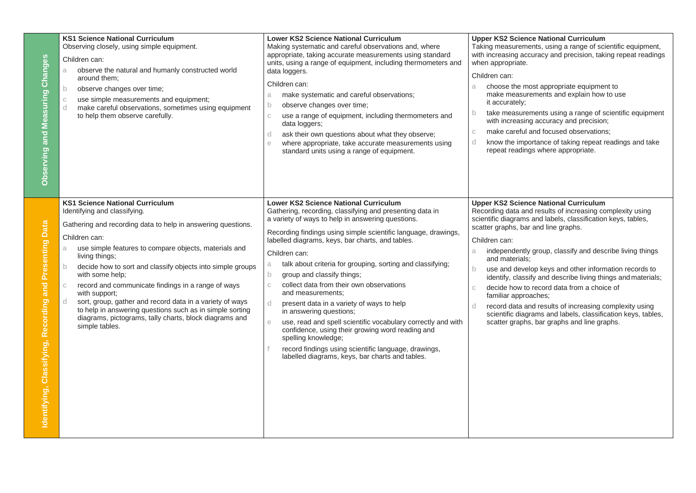| easuring Changes<br>Observing and M                                | <b>KS1 Science National Curriculum</b><br>Observing closely, using simple equipment.<br>Children can:<br>observe the natural and humanly constructed world<br>a.<br>around them;<br>observe changes over time;<br>$\mathsf{b}$<br>use simple measurements and equipment;<br>$\mathbb C$<br>make careful observations, sometimes using equipment<br>d<br>to help them observe carefully.<br><b>KS1 Science National Curriculum</b>                                                                                                                                                               | <b>Lower KS2 Science National Curriculum</b><br>Making systematic and careful observations and, where<br>appropriate, taking accurate measurements using standard<br>units, using a range of equipment, including thermometers and<br>data loggers.<br>Children can:<br>make systematic and careful observations;<br>a.<br>observe changes over time;<br>$\mathsf{b}$<br>use a range of equipment, including thermometers and<br>C.<br>data loggers;<br>ask their own questions about what they observe;<br>d<br>where appropriate, take accurate measurements using<br>e<br>standard units using a range of equipment.<br><b>Lower KS2 Science National Curriculum</b>                                                                                                                        | <b>Upper KS2 Science National Curriculum</b><br>Taking measurements, using a range of scientific equipment,<br>with increasing accuracy and precision, taking repeat readings<br>when appropriate.<br>Children can:<br>choose the most appropriate equipment to<br>a<br>make measurements and explain how to use<br>it accurately;<br>take measurements using a range of scientific equipment<br>$\mathbf b$<br>with increasing accuracy and precision;<br>make careful and focused observations;<br>$\mathbb{C}$<br>know the importance of taking repeat readings and take<br>d<br>repeat readings where appropriate.<br><b>Upper KS2 Science National Curriculum</b> |
|--------------------------------------------------------------------|-------------------------------------------------------------------------------------------------------------------------------------------------------------------------------------------------------------------------------------------------------------------------------------------------------------------------------------------------------------------------------------------------------------------------------------------------------------------------------------------------------------------------------------------------------------------------------------------------|------------------------------------------------------------------------------------------------------------------------------------------------------------------------------------------------------------------------------------------------------------------------------------------------------------------------------------------------------------------------------------------------------------------------------------------------------------------------------------------------------------------------------------------------------------------------------------------------------------------------------------------------------------------------------------------------------------------------------------------------------------------------------------------------|------------------------------------------------------------------------------------------------------------------------------------------------------------------------------------------------------------------------------------------------------------------------------------------------------------------------------------------------------------------------------------------------------------------------------------------------------------------------------------------------------------------------------------------------------------------------------------------------------------------------------------------------------------------------|
| Data<br>enting<br>and<br>buip.<br>Classifying, Recor<br>entifying, | Identifying and classifying.<br>Gathering and recording data to help in answering questions.<br>Children can:<br>use simple features to compare objects, materials and<br>a.<br>living things;<br>decide how to sort and classify objects into simple groups<br>$\mathsf{b}$<br>with some help;<br>record and communicate findings in a range of ways<br>$\mathbb{C}$<br>with support;<br>sort, group, gather and record data in a variety of ways<br>d<br>to help in answering questions such as in simple sorting<br>diagrams, pictograms, tally charts, block diagrams and<br>simple tables. | Gathering, recording, classifying and presenting data in<br>a variety of ways to help in answering questions.<br>Recording findings using simple scientific language, drawings,<br>labelled diagrams, keys, bar charts, and tables.<br>Children can:<br>talk about criteria for grouping, sorting and classifying;<br>a<br>group and classify things;<br>$\mathsf{b}$<br>collect data from their own observations<br>$\mathbb{C}$<br>and measurements;<br>present data in a variety of ways to help<br>d<br>in answering questions;<br>use, read and spell scientific vocabulary correctly and with<br>e<br>confidence, using their growing word reading and<br>spelling knowledge;<br>record findings using scientific language, drawings,<br>labelled diagrams, keys, bar charts and tables. | Recording data and results of increasing complexity using<br>scientific diagrams and labels, classification keys, tables,<br>scatter graphs, bar and line graphs.<br>Children can:<br>independently group, classify and describe living things<br>a<br>and materials:<br>use and develop keys and other information records to<br>$\mathsf{b}$<br>identify, classify and describe living things and materials;<br>decide how to record data from a choice of<br>C.<br>familiar approaches;<br>record data and results of increasing complexity using<br>scientific diagrams and labels, classification keys, tables,<br>scatter graphs, bar graphs and line graphs.    |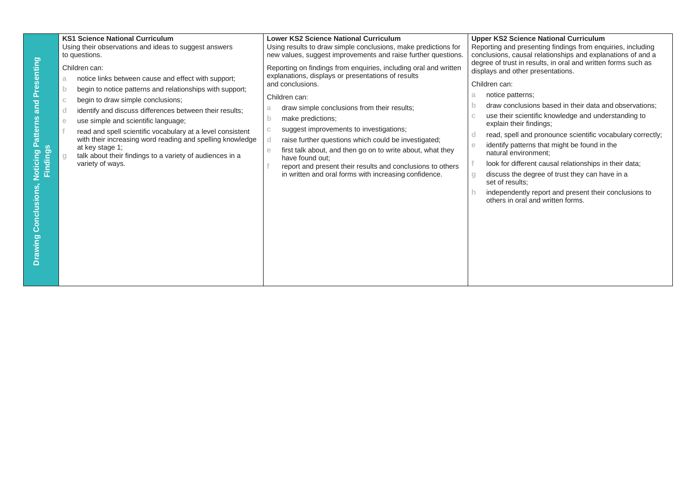| Noticing Patterns and Presenting<br>$\overline{3}$<br>Findin<br><b>Drawing Conclusions,</b> | <b>KS1 Science National Curriculum</b><br>Using their observations and ideas to suggest answers<br>to questions.<br>Children can:<br>notice links between cause and effect with support;<br>begin to notice patterns and relationships with support;<br>b<br>begin to draw simple conclusions;<br>identify and discuss differences between their results;<br>use simple and scientific language;<br>e<br>read and spell scientific vocabulary at a level consistent<br>with their increasing word reading and spelling knowledge<br>at key stage 1;<br>talk about their findings to a variety of audiences in a<br>variety of ways. | <b>Lower KS2 Science National Curriculum</b><br>Using results to draw simple conclusions, make predictions for<br>new values, suggest improvements and raise further questions.<br>Reporting on findings from enquiries, including oral and written<br>explanations, displays or presentations of results<br>and conclusions.<br>Children can:<br>draw simple conclusions from their results;<br>a<br>make predictions;<br>$\mathbf b$<br>suggest improvements to investigations;<br>raise further questions which could be investigated;<br>first talk about, and then go on to write about, what they<br>e<br>have found out:<br>report and present their results and conclusions to others<br>in written and oral forms with increasing confidence. | <b>Upper KS2 Science National Curriculum</b><br>Reporting and presenting findings from enquiries, including<br>conclusions, causal relationships and explanations of and a<br>degree of trust in results, in oral and written forms such as<br>displays and other presentations.<br>Children can:<br>notice patterns:<br>a<br>draw conclusions based in their data and observations;<br>use their scientific knowledge and understanding to<br>explain their findings;<br>read, spell and pronounce scientific vocabulary correctly;<br>identify patterns that might be found in the<br>natural environment:<br>look for different causal relationships in their data;<br>discuss the degree of trust they can have in a<br>set of results:<br>independently report and present their conclusions to<br>others in oral and written forms. |
|---------------------------------------------------------------------------------------------|-------------------------------------------------------------------------------------------------------------------------------------------------------------------------------------------------------------------------------------------------------------------------------------------------------------------------------------------------------------------------------------------------------------------------------------------------------------------------------------------------------------------------------------------------------------------------------------------------------------------------------------|--------------------------------------------------------------------------------------------------------------------------------------------------------------------------------------------------------------------------------------------------------------------------------------------------------------------------------------------------------------------------------------------------------------------------------------------------------------------------------------------------------------------------------------------------------------------------------------------------------------------------------------------------------------------------------------------------------------------------------------------------------|-------------------------------------------------------------------------------------------------------------------------------------------------------------------------------------------------------------------------------------------------------------------------------------------------------------------------------------------------------------------------------------------------------------------------------------------------------------------------------------------------------------------------------------------------------------------------------------------------------------------------------------------------------------------------------------------------------------------------------------------------------------------------------------------------------------------------------------------|
|---------------------------------------------------------------------------------------------|-------------------------------------------------------------------------------------------------------------------------------------------------------------------------------------------------------------------------------------------------------------------------------------------------------------------------------------------------------------------------------------------------------------------------------------------------------------------------------------------------------------------------------------------------------------------------------------------------------------------------------------|--------------------------------------------------------------------------------------------------------------------------------------------------------------------------------------------------------------------------------------------------------------------------------------------------------------------------------------------------------------------------------------------------------------------------------------------------------------------------------------------------------------------------------------------------------------------------------------------------------------------------------------------------------------------------------------------------------------------------------------------------------|-------------------------------------------------------------------------------------------------------------------------------------------------------------------------------------------------------------------------------------------------------------------------------------------------------------------------------------------------------------------------------------------------------------------------------------------------------------------------------------------------------------------------------------------------------------------------------------------------------------------------------------------------------------------------------------------------------------------------------------------------------------------------------------------------------------------------------------------|